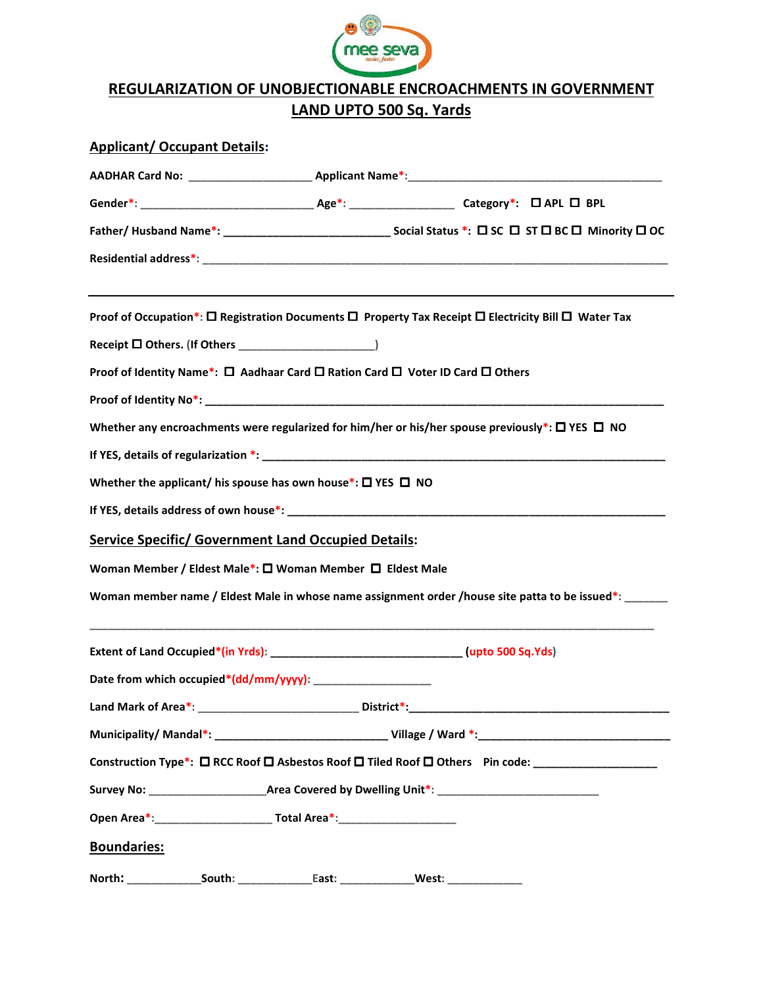

## REGULARIZATION OF UNOBJECTIONABLE ENCROACHMENTS IN GOVERNMENT LAND UPTO 500 Sq. Yards

| <b>Applicant/ Occupant Details:</b> |                                                                                                                          |
|-------------------------------------|--------------------------------------------------------------------------------------------------------------------------|
|                                     |                                                                                                                          |
|                                     |                                                                                                                          |
|                                     |                                                                                                                          |
|                                     |                                                                                                                          |
|                                     | Proof of Occupation*: $\Box$ Registration Documents $\Box$ Property Tax Receipt $\Box$ Electricity Bill $\Box$ Water Tax |
|                                     |                                                                                                                          |
|                                     | Proof of Identity Name*: □ Aadhaar Card □ Ration Card □ Voter ID Card □ Others                                           |
|                                     |                                                                                                                          |
|                                     | Whether any encroachments were regularized for him/her or his/her spouse previously*: $\Box$ YES $\Box$ NO               |
|                                     |                                                                                                                          |
|                                     | Whether the applicant/ his spouse has own house*: $\square$ YES $\square$ NO                                             |
|                                     |                                                                                                                          |
|                                     | <b>Service Specific/ Government Land Occupied Details:</b>                                                               |
|                                     | Woman Member / Eldest Male*: □ Woman Member □ Eldest Male                                                                |
|                                     | Woman member name / Eldest Male in whose name assignment order /house site patta to be issued*: ______                   |
|                                     | Extent of Land Occupied*(in Yrds): ________________________________(upto 500 Sq.Yds)                                     |
|                                     |                                                                                                                          |
|                                     |                                                                                                                          |
|                                     | Municipality/ Mandal*: ___________________________________Village / Ward *: __________________________________           |
|                                     | Construction Type*: □ RCC Roof □ Asbestos Roof □ Tiled Roof □ Others Pin code: ___________________                       |
|                                     |                                                                                                                          |
|                                     | Open Area*: Change and Total Area*:                                                                                      |
| <b>Boundaries:</b>                  |                                                                                                                          |
|                                     | West:                                                                                                                    |